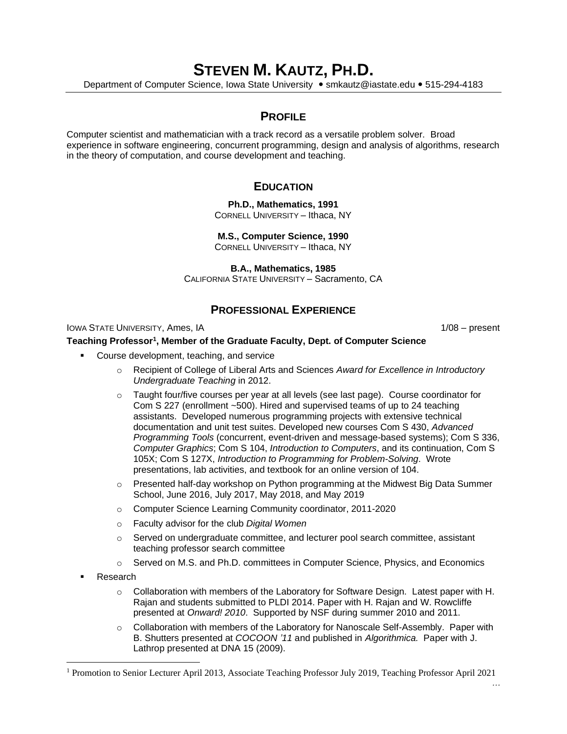# **STEVEN M. KAUTZ, PH.D.**

Department of Computer Science, Iowa State University • smkautz@iastate.edu • 515-294-4183

## **PROFILE**

Computer scientist and mathematician with a track record as a versatile problem solver. Broad experience in software engineering, concurrent programming, design and analysis of algorithms, research in the theory of computation, and course development and teaching.

## **EDUCATION**

**Ph.D., Mathematics, 1991** CORNELL UNIVERSITY – Ithaca, NY

#### **M.S., Computer Science, 1990**

CORNELL UNIVERSITY – Ithaca, NY

**B.A., Mathematics, 1985**

CALIFORNIA STATE UNIVERSITY – Sacramento, CA

## **PROFESSIONAL EXPERIENCE**

#### IOWA STATE UNIVERSITY, Ames, IA 1/08 – present

*…*

#### **Teaching Professor<sup>1</sup> , Member of the Graduate Faculty, Dept. of Computer Science**

- Course development, teaching, and service
	- o Recipient of College of Liberal Arts and Sciences *Award for Excellence in Introductory Undergraduate Teaching* in 2012.
	- $\circ$  Taught four/five courses per year at all levels (see last page). Course coordinator for Com S 227 (enrollment ~500). Hired and supervised teams of up to 24 teaching assistants. Developed numerous programming projects with extensive technical documentation and unit test suites. Developed new courses Com S 430, *Advanced Programming Tools* (concurrent, event-driven and message-based systems); Com S 336, *Computer Graphics*; Com S 104, *Introduction to Computers*, and its continuation, Com S 105X; Com S 127X, *Introduction to Programming for Problem-Solving*. Wrote presentations, lab activities, and textbook for an online version of 104.
	- $\circ$  Presented half-day workshop on Python programming at the Midwest Big Data Summer School, June 2016, July 2017, May 2018, and May 2019
	- o Computer Science Learning Community coordinator, 2011-2020
	- o Faculty advisor for the club *Digital Women*
	- $\circ$  Served on undergraduate committee, and lecturer pool search committee, assistant teaching professor search committee
	- o Served on M.S. and Ph.D. committees in Computer Science, Physics, and Economics
- **Research** 
	- $\circ$  Collaboration with members of the Laboratory for Software Design. Latest paper with H. Rajan and students submitted to PLDI 2014. Paper with H. Rajan and W. Rowcliffe presented at *Onward! 2010*. Supported by NSF during summer 2010 and 2011.
	- o Collaboration with members of the Laboratory for Nanoscale Self-Assembly. Paper with B. Shutters presented at *COCOON '11* and published in *Algorithmica.* Paper with J. Lathrop presented at DNA 15 (2009).

<sup>1</sup> Promotion to Senior Lecturer April 2013, Associate Teaching Professor July 2019, Teaching Professor April 2021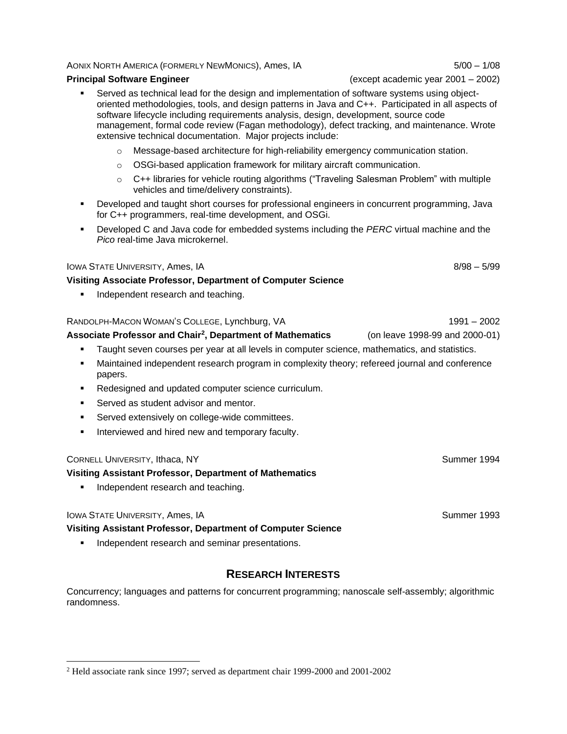#### AONIX NORTH AMERICA (FORMERLY NEWMONICS), Ames, IA 5/00 – 1/08

- Served as technical lead for the design and implementation of software systems using objectoriented methodologies, tools, and design patterns in Java and C++. Participated in all aspects of software lifecycle including requirements analysis, design, development, source code management, formal code review (Fagan methodology), defect tracking, and maintenance. Wrote extensive technical documentation. Major projects include:
	- o Message-based architecture for high-reliability emergency communication station.
	- o OSGi-based application framework for military aircraft communication.
	- $\circ$  C++ libraries for vehicle routing algorithms ("Traveling Salesman Problem" with multiple vehicles and time/delivery constraints).
- Developed and taught short courses for professional engineers in concurrent programming, Java for C++ programmers, real-time development, and OSGi.
- Developed C and Java code for embedded systems including the *PERC* virtual machine and the *Pico* real-time Java microkernel.

#### IOWA STATE UNIVERSITY, Ames, IA 8/98 – 5/99

#### **Visiting Associate Professor, Department of Computer Science**

Independent research and teaching.

#### RANDOLPH-MACON WOMAN'S COLLEGE, Lynchburg, VA 1991 1991 – 2002

#### **Associate Professor and Chair<sup>2</sup>**

- **EXECT** Taught seven courses per year at all levels in computer science, mathematics, and statistics.
- **■** Maintained independent research program in complexity theory; refereed journal and conference papers.
- Redesigned and updated computer science curriculum.
- Served as student advisor and mentor.
- Served extensively on college-wide committees.
- Interviewed and hired new and temporary faculty.

#### CORNELL UNIVERSITY, Ithaca, NY Summer 1994

#### **Visiting Assistant Professor, Department of Mathematics**

Independent research and teaching.

#### IOWA STATE UNIVERSITY, Ames, IA Summer 1993

#### **Visiting Assistant Professor, Department of Computer Science**

Independent research and seminar presentations.

## **RESEARCH INTERESTS**

Concurrency; languages and patterns for concurrent programming; nanoscale self-assembly; algorithmic randomness.

**, Department of Mathematics** (on leave 1998-99 and 2000-01)

**Principal Software Engineer** (except academic year 2001 – 2002)

<sup>2</sup> Held associate rank since 1997; served as department chair 1999-2000 and 2001-2002